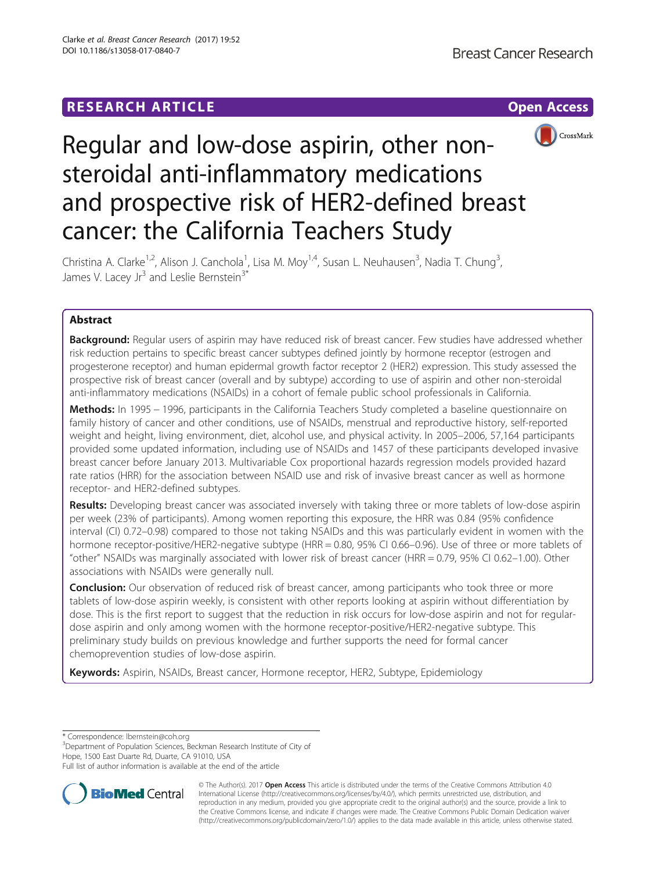# **RESEARCH ARTICLE Example 2014 12:30 The Contract of Contract ACCESS**



# Regular and low-dose aspirin, other nonsteroidal anti-inflammatory medications and prospective risk of HER2-defined breast cancer: the California Teachers Study

Christina A. Clarke<sup>1,2</sup>, Alison J. Canchola<sup>1</sup>, Lisa M. Moy<sup>1,4</sup>, Susan L. Neuhausen<sup>3</sup>, Nadia T. Chung<sup>3</sup> , James V. Lacey J $r^3$  and Leslie Bernstein<sup>3\*</sup>

# Abstract

**Background:** Regular users of aspirin may have reduced risk of breast cancer. Few studies have addressed whether risk reduction pertains to specific breast cancer subtypes defined jointly by hormone receptor (estrogen and progesterone receptor) and human epidermal growth factor receptor 2 (HER2) expression. This study assessed the prospective risk of breast cancer (overall and by subtype) according to use of aspirin and other non-steroidal anti-inflammatory medications (NSAIDs) in a cohort of female public school professionals in California.

Methods: In 1995 – 1996, participants in the California Teachers Study completed a baseline questionnaire on family history of cancer and other conditions, use of NSAIDs, menstrual and reproductive history, self-reported weight and height, living environment, diet, alcohol use, and physical activity. In 2005–2006, 57,164 participants provided some updated information, including use of NSAIDs and 1457 of these participants developed invasive breast cancer before January 2013. Multivariable Cox proportional hazards regression models provided hazard rate ratios (HRR) for the association between NSAID use and risk of invasive breast cancer as well as hormone receptor- and HER2-defined subtypes.

Results: Developing breast cancer was associated inversely with taking three or more tablets of low-dose aspirin per week (23% of participants). Among women reporting this exposure, the HRR was 0.84 (95% confidence interval (CI) 0.72–0.98) compared to those not taking NSAIDs and this was particularly evident in women with the hormone receptor-positive/HER2-negative subtype (HRR = 0.80, 95% CI 0.66–0.96). Use of three or more tablets of "other" NSAIDs was marginally associated with lower risk of breast cancer (HRR = 0.79, 95% CI 0.62–1.00). Other associations with NSAIDs were generally null.

**Conclusion:** Our observation of reduced risk of breast cancer, among participants who took three or more tablets of low-dose aspirin weekly, is consistent with other reports looking at aspirin without differentiation by dose. This is the first report to suggest that the reduction in risk occurs for low-dose aspirin and not for regulardose aspirin and only among women with the hormone receptor-positive/HER2-negative subtype. This preliminary study builds on previous knowledge and further supports the need for formal cancer chemoprevention studies of low-dose aspirin.

Keywords: Aspirin, NSAIDs, Breast cancer, Hormone receptor, HER2, Subtype, Epidemiology

\* Correspondence: [lbernstein@coh.org](mailto:lbernstein@coh.org) <sup>3</sup>

<sup>3</sup>Department of Population Sciences, Beckman Research Institute of City of Hope, 1500 East Duarte Rd, Duarte, CA 91010, USA

Full list of author information is available at the end of the article



© The Author(s). 2017 **Open Access** This article is distributed under the terms of the Creative Commons Attribution 4.0 International License [\(http://creativecommons.org/licenses/by/4.0/](http://creativecommons.org/licenses/by/4.0/)), which permits unrestricted use, distribution, and reproduction in any medium, provided you give appropriate credit to the original author(s) and the source, provide a link to the Creative Commons license, and indicate if changes were made. The Creative Commons Public Domain Dedication waiver [\(http://creativecommons.org/publicdomain/zero/1.0/](http://creativecommons.org/publicdomain/zero/1.0/)) applies to the data made available in this article, unless otherwise stated.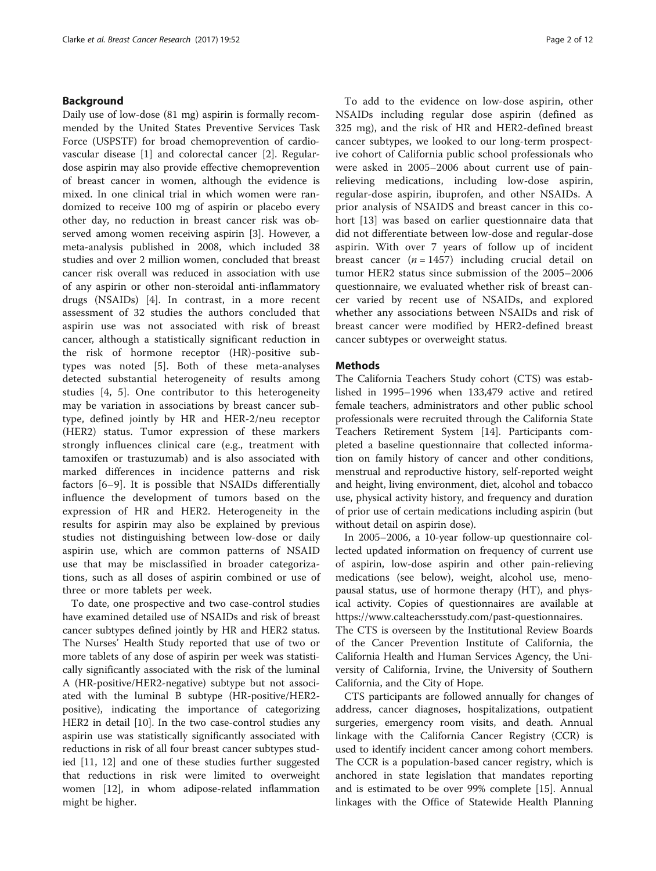# Background

Daily use of low-dose (81 mg) aspirin is formally recommended by the United States Preventive Services Task Force (USPSTF) for broad chemoprevention of cardiovascular disease [[1](#page-10-0)] and colorectal cancer [\[2](#page-10-0)]. Regulardose aspirin may also provide effective chemoprevention of breast cancer in women, although the evidence is mixed. In one clinical trial in which women were randomized to receive 100 mg of aspirin or placebo every other day, no reduction in breast cancer risk was observed among women receiving aspirin [\[3](#page-10-0)]. However, a meta-analysis published in 2008, which included 38 studies and over 2 million women, concluded that breast cancer risk overall was reduced in association with use of any aspirin or other non-steroidal anti-inflammatory drugs (NSAIDs) [[4\]](#page-10-0). In contrast, in a more recent assessment of 32 studies the authors concluded that aspirin use was not associated with risk of breast cancer, although a statistically significant reduction in the risk of hormone receptor (HR)-positive subtypes was noted [[5\]](#page-10-0). Both of these meta-analyses detected substantial heterogeneity of results among studies [\[4](#page-10-0), [5](#page-10-0)]. One contributor to this heterogeneity may be variation in associations by breast cancer subtype, defined jointly by HR and HER-2/neu receptor (HER2) status. Tumor expression of these markers strongly influences clinical care (e.g., treatment with tamoxifen or trastuzumab) and is also associated with marked differences in incidence patterns and risk factors [[6](#page-10-0)–[9\]](#page-11-0). It is possible that NSAIDs differentially influence the development of tumors based on the expression of HR and HER2. Heterogeneity in the results for aspirin may also be explained by previous studies not distinguishing between low-dose or daily aspirin use, which are common patterns of NSAID use that may be misclassified in broader categorizations, such as all doses of aspirin combined or use of three or more tablets per week.

To date, one prospective and two case-control studies have examined detailed use of NSAIDs and risk of breast cancer subtypes defined jointly by HR and HER2 status. The Nurses' Health Study reported that use of two or more tablets of any dose of aspirin per week was statistically significantly associated with the risk of the luminal A (HR-positive/HER2-negative) subtype but not associated with the luminal B subtype (HR-positive/HER2 positive), indicating the importance of categorizing HER2 in detail [[10\]](#page-11-0). In the two case-control studies any aspirin use was statistically significantly associated with reductions in risk of all four breast cancer subtypes studied [\[11](#page-11-0), [12](#page-11-0)] and one of these studies further suggested that reductions in risk were limited to overweight women [[12\]](#page-11-0), in whom adipose-related inflammation might be higher.

To add to the evidence on low-dose aspirin, other NSAIDs including regular dose aspirin (defined as 325 mg), and the risk of HR and HER2-defined breast cancer subtypes, we looked to our long-term prospective cohort of California public school professionals who were asked in 2005–2006 about current use of painrelieving medications, including low-dose aspirin, regular-dose aspirin, ibuprofen, and other NSAIDs. A prior analysis of NSAIDS and breast cancer in this cohort [[13\]](#page-11-0) was based on earlier questionnaire data that did not differentiate between low-dose and regular-dose aspirin. With over 7 years of follow up of incident breast cancer  $(n = 1457)$  including crucial detail on tumor HER2 status since submission of the 2005–2006 questionnaire, we evaluated whether risk of breast cancer varied by recent use of NSAIDs, and explored whether any associations between NSAIDs and risk of breast cancer were modified by HER2-defined breast cancer subtypes or overweight status.

# Methods

The California Teachers Study cohort (CTS) was established in 1995–1996 when 133,479 active and retired female teachers, administrators and other public school professionals were recruited through the California State Teachers Retirement System [[14\]](#page-11-0). Participants completed a baseline questionnaire that collected information on family history of cancer and other conditions, menstrual and reproductive history, self-reported weight and height, living environment, diet, alcohol and tobacco use, physical activity history, and frequency and duration of prior use of certain medications including aspirin (but without detail on aspirin dose).

In 2005–2006, a 10-year follow-up questionnaire collected updated information on frequency of current use of aspirin, low-dose aspirin and other pain-relieving medications (see below), weight, alcohol use, menopausal status, use of hormone therapy (HT), and physical activity. Copies of questionnaires are available at [https://www.calteachersstudy.com/past-questionnaires.](https://www.calteachersstudy.com/past-questionnaires)

The CTS is overseen by the Institutional Review Boards of the Cancer Prevention Institute of California, the California Health and Human Services Agency, the University of California, Irvine, the University of Southern California, and the City of Hope.

CTS participants are followed annually for changes of address, cancer diagnoses, hospitalizations, outpatient surgeries, emergency room visits, and death. Annual linkage with the California Cancer Registry (CCR) is used to identify incident cancer among cohort members. The CCR is a population-based cancer registry, which is anchored in state legislation that mandates reporting and is estimated to be over 99% complete [\[15](#page-11-0)]. Annual linkages with the Office of Statewide Health Planning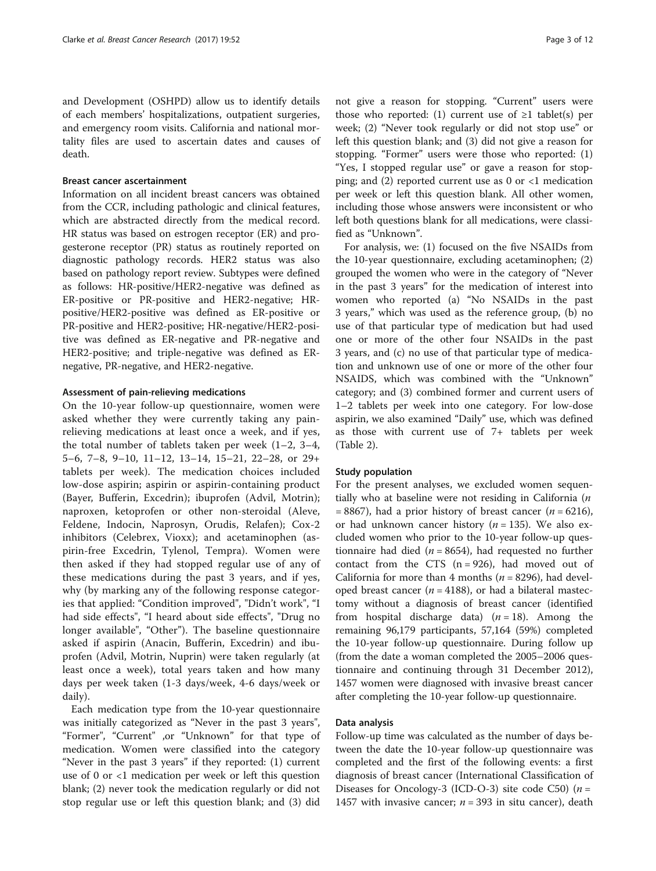and Development (OSHPD) allow us to identify details of each members' hospitalizations, outpatient surgeries, and emergency room visits. California and national mortality files are used to ascertain dates and causes of death.

# Breast cancer ascertainment

Information on all incident breast cancers was obtained from the CCR, including pathologic and clinical features, which are abstracted directly from the medical record. HR status was based on estrogen receptor (ER) and progesterone receptor (PR) status as routinely reported on diagnostic pathology records. HER2 status was also based on pathology report review. Subtypes were defined as follows: HR-positive/HER2-negative was defined as ER-positive or PR-positive and HER2-negative; HRpositive/HER2-positive was defined as ER-positive or PR-positive and HER2-positive; HR-negative/HER2-positive was defined as ER-negative and PR-negative and HER2-positive; and triple-negative was defined as ERnegative, PR-negative, and HER2-negative.

### Assessment of pain-relieving medications

On the 10-year follow-up questionnaire, women were asked whether they were currently taking any painrelieving medications at least once a week, and if yes, the total number of tablets taken per week (1–2, 3–4, 5–6, 7–8, 9–10, 11–12, 13–14, 15–21, 22–28, or 29+ tablets per week). The medication choices included low-dose aspirin; aspirin or aspirin-containing product (Bayer, Bufferin, Excedrin); ibuprofen (Advil, Motrin); naproxen, ketoprofen or other non-steroidal (Aleve, Feldene, Indocin, Naprosyn, Orudis, Relafen); Cox-2 inhibitors (Celebrex, Vioxx); and acetaminophen (aspirin-free Excedrin, Tylenol, Tempra). Women were then asked if they had stopped regular use of any of these medications during the past 3 years, and if yes, why (by marking any of the following response categories that applied: "Condition improved", "Didn't work", "I had side effects", "I heard about side effects", "Drug no longer available", "Other"). The baseline questionnaire asked if aspirin (Anacin, Bufferin, Excedrin) and ibuprofen (Advil, Motrin, Nuprin) were taken regularly (at least once a week), total years taken and how many days per week taken (1-3 days/week, 4-6 days/week or daily).

Each medication type from the 10-year questionnaire was initially categorized as "Never in the past 3 years", "Former", "Current" ,or "Unknown" for that type of medication. Women were classified into the category "Never in the past 3 years" if they reported: (1) current use of 0 or <1 medication per week or left this question blank; (2) never took the medication regularly or did not stop regular use or left this question blank; and (3) did not give a reason for stopping. "Current" users were those who reported: (1) current use of  $\geq 1$  tablet(s) per week; (2) "Never took regularly or did not stop use" or left this question blank; and (3) did not give a reason for stopping. "Former" users were those who reported: (1) "Yes, I stopped regular use" or gave a reason for stopping; and (2) reported current use as  $0$  or  $\lt 1$  medication per week or left this question blank. All other women, including those whose answers were inconsistent or who left both questions blank for all medications, were classified as "Unknown".

For analysis, we: (1) focused on the five NSAIDs from the 10-year questionnaire, excluding acetaminophen; (2) grouped the women who were in the category of "Never in the past 3 years" for the medication of interest into women who reported (a) "No NSAIDs in the past 3 years," which was used as the reference group, (b) no use of that particular type of medication but had used one or more of the other four NSAIDs in the past 3 years, and (c) no use of that particular type of medication and unknown use of one or more of the other four NSAIDS, which was combined with the "Unknown" category; and (3) combined former and current users of 1–2 tablets per week into one category. For low-dose aspirin, we also examined "Daily" use, which was defined as those with current use of 7+ tablets per week (Table [2\)](#page-6-0).

## Study population

For the present analyses, we excluded women sequentially who at baseline were not residing in California  $(n)$ = 8867), had a prior history of breast cancer  $(n = 6216)$ , or had unknown cancer history ( $n = 135$ ). We also excluded women who prior to the 10-year follow-up questionnaire had died ( $n = 8654$ ), had requested no further contact from the CTS  $(n = 926)$ , had moved out of California for more than 4 months ( $n = 8296$ ), had developed breast cancer ( $n = 4188$ ), or had a bilateral mastectomy without a diagnosis of breast cancer (identified from hospital discharge data)  $(n = 18)$ . Among the remaining 96,179 participants, 57,164 (59%) completed the 10-year follow-up questionnaire. During follow up (from the date a woman completed the 2005–2006 questionnaire and continuing through 31 December 2012), 1457 women were diagnosed with invasive breast cancer after completing the 10-year follow-up questionnaire.

## Data analysis

Follow-up time was calculated as the number of days between the date the 10-year follow-up questionnaire was completed and the first of the following events: a first diagnosis of breast cancer (International Classification of Diseases for Oncology-3 (ICD-O-3) site code C50) ( $n =$ 1457 with invasive cancer;  $n = 393$  in situ cancer), death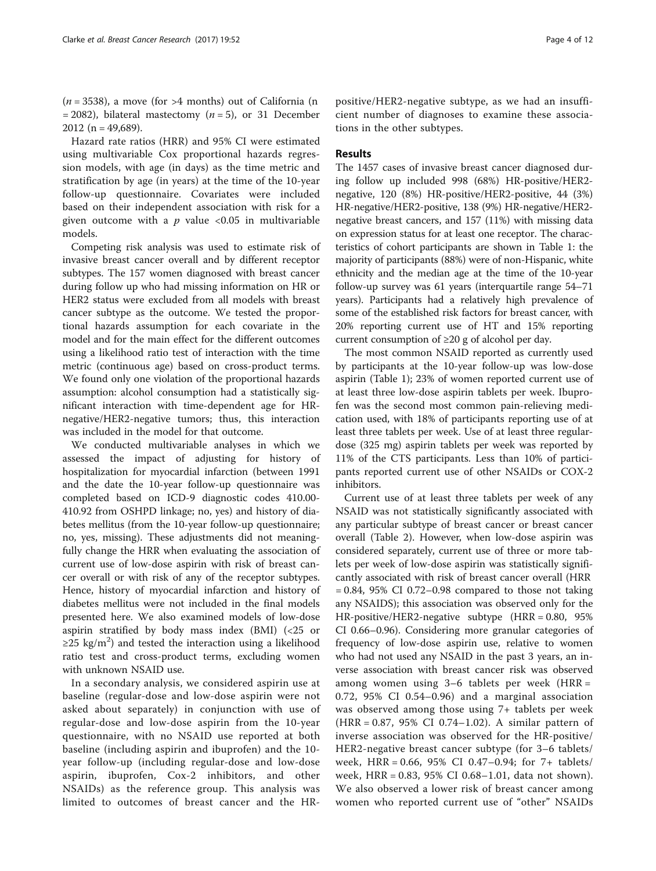$(n = 3538)$ , a move (for >4 months) out of California (n = 2082), bilateral mastectomy ( $n = 5$ ), or 31 December 2012 ( $n = 49,689$ ).

Hazard rate ratios (HRR) and 95% CI were estimated using multivariable Cox proportional hazards regression models, with age (in days) as the time metric and stratification by age (in years) at the time of the 10-year follow-up questionnaire. Covariates were included based on their independent association with risk for a given outcome with a  $p$  value <0.05 in multivariable models.

Competing risk analysis was used to estimate risk of invasive breast cancer overall and by different receptor subtypes. The 157 women diagnosed with breast cancer during follow up who had missing information on HR or HER2 status were excluded from all models with breast cancer subtype as the outcome. We tested the proportional hazards assumption for each covariate in the model and for the main effect for the different outcomes using a likelihood ratio test of interaction with the time metric (continuous age) based on cross-product terms. We found only one violation of the proportional hazards assumption: alcohol consumption had a statistically significant interaction with time-dependent age for HRnegative/HER2-negative tumors; thus, this interaction was included in the model for that outcome.

We conducted multivariable analyses in which we assessed the impact of adjusting for history of hospitalization for myocardial infarction (between 1991 and the date the 10-year follow-up questionnaire was completed based on ICD-9 diagnostic codes 410.00- 410.92 from OSHPD linkage; no, yes) and history of diabetes mellitus (from the 10-year follow-up questionnaire; no, yes, missing). These adjustments did not meaningfully change the HRR when evaluating the association of current use of low-dose aspirin with risk of breast cancer overall or with risk of any of the receptor subtypes. Hence, history of myocardial infarction and history of diabetes mellitus were not included in the final models presented here. We also examined models of low-dose aspirin stratified by body mass index (BMI) (<25 or ≥25 kg/m<sup>2</sup>) and tested the interaction using a likelihood ratio test and cross-product terms, excluding women with unknown NSAID use.

In a secondary analysis, we considered aspirin use at baseline (regular-dose and low-dose aspirin were not asked about separately) in conjunction with use of regular-dose and low-dose aspirin from the 10-year questionnaire, with no NSAID use reported at both baseline (including aspirin and ibuprofen) and the 10 year follow-up (including regular-dose and low-dose aspirin, ibuprofen, Cox-2 inhibitors, and other NSAIDs) as the reference group. This analysis was limited to outcomes of breast cancer and the HR- positive/HER2-negative subtype, as we had an insufficient number of diagnoses to examine these associations in the other subtypes.

# Results

The 1457 cases of invasive breast cancer diagnosed during follow up included 998 (68%) HR-positive/HER2 negative, 120 (8%) HR-positive/HER2-positive, 44 (3%) HR-negative/HER2-positive, 138 (9%) HR-negative/HER2 negative breast cancers, and 157 (11%) with missing data on expression status for at least one receptor. The characteristics of cohort participants are shown in Table [1](#page-4-0): the majority of participants (88%) were of non-Hispanic, white ethnicity and the median age at the time of the 10-year follow-up survey was 61 years (interquartile range 54–71 years). Participants had a relatively high prevalence of some of the established risk factors for breast cancer, with 20% reporting current use of HT and 15% reporting current consumption of ≥20 g of alcohol per day.

The most common NSAID reported as currently used by participants at the 10-year follow-up was low-dose aspirin (Table [1](#page-4-0)); 23% of women reported current use of at least three low-dose aspirin tablets per week. Ibuprofen was the second most common pain-relieving medication used, with 18% of participants reporting use of at least three tablets per week. Use of at least three regulardose (325 mg) aspirin tablets per week was reported by 11% of the CTS participants. Less than 10% of participants reported current use of other NSAIDs or COX-2 inhibitors.

Current use of at least three tablets per week of any NSAID was not statistically significantly associated with any particular subtype of breast cancer or breast cancer overall (Table [2](#page-6-0)). However, when low-dose aspirin was considered separately, current use of three or more tablets per week of low-dose aspirin was statistically significantly associated with risk of breast cancer overall (HRR  $= 0.84$ , 95% CI 0.72–0.98 compared to those not taking any NSAIDS); this association was observed only for the HR-positive/HER2-negative subtype (HRR = 0.80, 95% CI 0.66–0.96). Considering more granular categories of frequency of low-dose aspirin use, relative to women who had not used any NSAID in the past 3 years, an inverse association with breast cancer risk was observed among women using 3–6 tablets per week (HRR = 0.72, 95% CI 0.54–0.96) and a marginal association was observed among those using 7+ tablets per week (HRR = 0.87, 95% CI 0.74–1.02). A similar pattern of inverse association was observed for the HR-positive/ HER2-negative breast cancer subtype (for 3–6 tablets/ week, HRR = 0.66, 95% CI 0.47–0.94; for 7+ tablets/ week, HRR = 0.83, 95% CI 0.68–1.01, data not shown). We also observed a lower risk of breast cancer among women who reported current use of "other" NSAIDs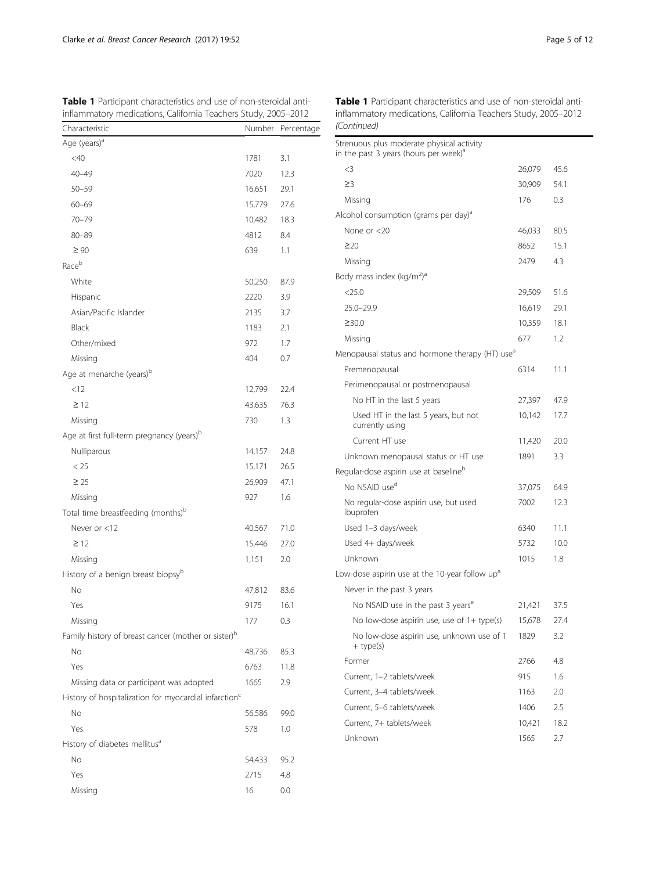<span id="page-4-0"></span>Table 1 Participant characteristics and use of non-steroidal anti-

| inflammatory medications, California Teachers Study, 2005-2012    |        |            |
|-------------------------------------------------------------------|--------|------------|
| Characteristic                                                    | Number | Percentage |
| Age (years) <sup>a</sup>                                          |        |            |
| $<$ 40                                                            | 1781   | 3.1        |
| $40 - 49$                                                         | 7020   | 12.3       |
| $50 - 59$                                                         | 16,651 | 29.1       |
| $60 - 69$                                                         | 15,779 | 27.6       |
| $70 - 79$                                                         | 10,482 | 18.3       |
| $80 - 89$                                                         | 4812   | 8.4        |
| $\geq 90$                                                         | 639    | 1.1        |
| Raceb                                                             |        |            |
| White                                                             | 50,250 | 87.9       |
| Hispanic                                                          | 2220   | 3.9        |
| Asian/Pacific Islander                                            | 2135   | 3.7        |
| Black                                                             | 1183   | 2.1        |
| Other/mixed                                                       | 972    | 1.7        |
| Missing                                                           | 404    | 0.7        |
| Age at menarche (years) <sup>b</sup>                              |        |            |
| < 12                                                              | 12,799 | 22.4       |
| $\geq$ 12                                                         | 43,635 | 76.3       |
| Missing                                                           | 730    | 1.3        |
| Age at first full-term pregnancy (years) <sup>b</sup>             |        |            |
| Nulliparous                                                       | 14,157 | 24.8       |
| < 25                                                              | 15,171 | 26.5       |
| $\geq 25$                                                         | 26,909 | 47.1       |
| Missing                                                           | 927    | 1.6        |
| Total time breastfeeding (months) <sup>b</sup>                    |        |            |
| Never or <12                                                      | 40,567 | 71.0       |
| $\geq$ 12                                                         | 15,446 | 27.0       |
| Missing                                                           | 1,151  | 2.0        |
| History of a benign breast biopsy <sup>b</sup>                    |        |            |
| No                                                                | 47,812 | 83.6       |
| Yes                                                               | 9175   | 16.1       |
| Missing                                                           | 177    | 0.3        |
| Family history of breast cancer (mother or sister) <sup>b</sup>   |        |            |
| No                                                                | 48,736 | 85.3       |
| Yes                                                               | 6763   | 11.8       |
| Missing data or participant was adopted                           | 1665   | 2.9        |
| History of hospitalization for myocardial infarction <sup>c</sup> |        |            |
| No                                                                | 56,586 | 99.0       |
| Yes                                                               | 578    | 1.0        |
| History of diabetes mellitus <sup>a</sup>                         |        |            |
| No                                                                | 54,433 | 95.2       |
| Yes                                                               | 2715   | 4.8        |
| Missing                                                           | 16     | 0.0        |

Table 1 Participant characteristics and use of non-steroidal antiinflammatory medications, California Teachers Study, 2005–2012 (Continued)

| Strenuous plus moderate physical activity<br>in the past 3 years (hours per week) <sup>a</sup> |        |      |
|------------------------------------------------------------------------------------------------|--------|------|
| $<$ 3                                                                                          | 26,079 | 45.6 |
| $\geq$ 3                                                                                       | 30,909 | 54.1 |
| Missing                                                                                        | 176    | 0.3  |
| Alcohol consumption (grams per day) <sup>a</sup>                                               |        |      |
| None or $<$ 20                                                                                 | 46,033 | 80.5 |
| $\geq$ 20                                                                                      | 8652   | 15.1 |
| Missing                                                                                        | 2479   | 4.3  |
| Body mass index (kg/m <sup>2</sup> ) <sup>a</sup>                                              |        |      |
| $<$ 25.0                                                                                       | 29,509 | 51.6 |
| $25.0 - 29.9$                                                                                  | 16,619 | 29.1 |
| $≥$ 30.0                                                                                       | 10,359 | 18.1 |
| Missing                                                                                        | 677    | 1.2  |
| Menopausal status and hormone therapy (HT) use <sup>a</sup>                                    |        |      |
| Premenopausal                                                                                  | 6314   | 11.1 |
| Perimenopausal or postmenopausal                                                               |        |      |
| No HT in the last 5 years                                                                      | 27,397 | 47.9 |
| Used HT in the last 5 years, but not<br>currently using                                        | 10,142 | 17.7 |
| Current HT use                                                                                 | 11,420 | 20.0 |
| Unknown menopausal status or HT use                                                            | 1891   | 3.3  |
| Regular-dose aspirin use at baseline <sup>b</sup>                                              |        |      |
| No NSAID use <sup>d</sup>                                                                      | 37,075 | 64.9 |
| No regular-dose aspirin use, but used<br>ibuprofen                                             | 7002   | 12.3 |
| Used 1-3 days/week                                                                             | 6340   | 11.1 |
| Used 4+ days/week                                                                              | 5732   | 10.0 |
| Unknown                                                                                        | 1015   | 1.8  |
| Low-dose aspirin use at the 10-year follow up <sup>a</sup>                                     |        |      |
| Never in the past 3 years                                                                      |        |      |
| No NSAID use in the past 3 years <sup>e</sup>                                                  | 21,421 | 37.5 |
| No low-dose aspirin use, use of 1+ type(s)                                                     | 15,678 | 27.4 |
| No low-dose aspirin use, unknown use of 1<br>$+$ type(s)                                       | 1829   | 3.2  |
| Former                                                                                         | 2766   | 4.8  |
| Current, 1-2 tablets/week                                                                      | 915    | 1.6  |
| Current, 3-4 tablets/week                                                                      | 1163   | 2.0  |
| Current, 5-6 tablets/week                                                                      | 1406   | 2.5  |
| Current, 7+ tablets/week                                                                       | 10,421 | 18.2 |
| Unknown                                                                                        | 1565   | 2.7  |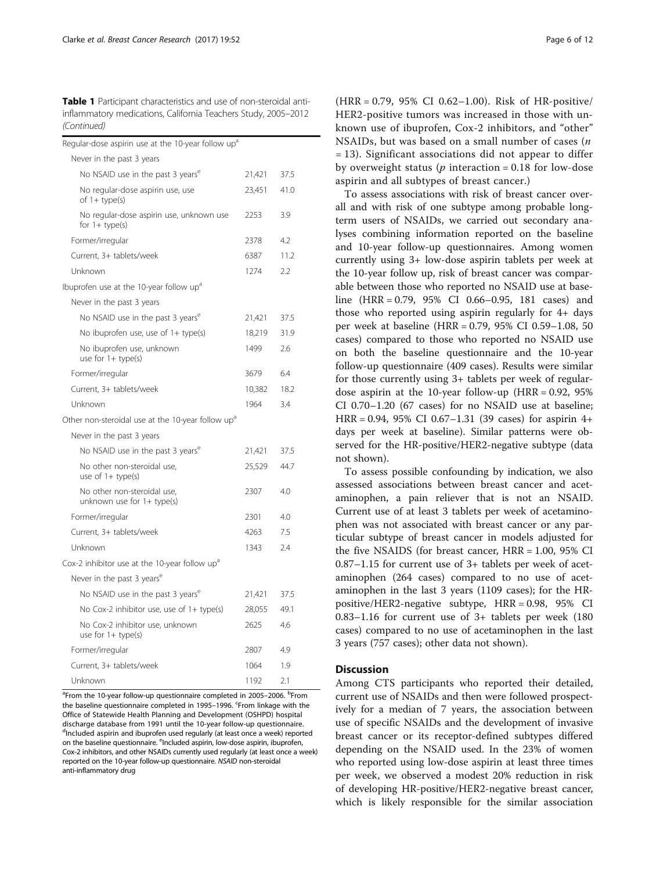Table 1 Participant characteristics and use of non-steroidal antiinflammatory medications, California Teachers Study, 2005–2012 (Continued)

| Regular-dose aspirin use at the 10-year follow up <sup>a</sup> |        |      |
|----------------------------------------------------------------|--------|------|
| Never in the past 3 years                                      |        |      |
| No NSAID use in the past 3 years <sup>e</sup>                  | 21,421 | 37.5 |
| No regular-dose aspirin use, use<br>of $1 + type(s)$           | 23.451 | 41.0 |
| No regular-dose aspirin use, unknown use<br>for $1+$ type(s)   | 2253   | 3.9  |
| Former/irregular                                               | 2378   | 4.2  |
| Current, 3+ tablets/week                                       | 6387   | 112  |
| Unknown                                                        | 1274   | 2.2  |
| Ibuprofen use at the 10-year follow up <sup>a</sup>            |        |      |
| Never in the past 3 years                                      |        |      |
| No NSAID use in the past 3 years <sup>e</sup>                  | 21,421 | 37.5 |
| No ibuprofen use, use of 1+ type(s)                            | 18.219 | 31.9 |
| No ibuprofen use, unknown<br>use for $1 + type(s)$             | 1499   | 2.6  |
| Former/irregular                                               | 3679   | 64   |
| Current, 3+ tablets/week                                       | 10,382 | 18.2 |
| Unknown                                                        | 1964   | 3.4  |
| Other non-steroidal use at the 10-year follow up <sup>a</sup>  |        |      |
| Never in the past 3 years                                      |        |      |
| No NSAID use in the past 3 years <sup>e</sup>                  | 21,421 | 37.5 |
| No other non-steroidal use,<br>use of $1+$ type(s)             | 25,529 | 44.7 |
| No other non-steroidal use,<br>unknown use for $1+$ type(s)    | 2307   | 4.0  |
| Former/irregular                                               | 2301   | 4.0  |
| Current, 3+ tablets/week                                       | 4263   | 7.5  |
| Unknown                                                        | 1343   | 7.4  |
| Cox-2 inhibitor use at the 10-year follow up <sup>a</sup>      |        |      |
| Never in the past 3 years <sup>e</sup>                         |        |      |
| No NSAID use in the past 3 years <sup>e</sup>                  | 21,421 | 37.5 |
| No Cox-2 inhibitor use, use of $1+$ type(s)                    | 28,055 | 49.1 |
| No Cox-2 inhibitor use, unknown<br>use for $1+$ type(s)        | 2625   | 4.6  |
| Former/irregular                                               | 2807   | 4.9  |
| Current, 3+ tablets/week                                       | 1064   | 1.9  |
| Unknown                                                        | 1192   | 2.1  |

<sup>a</sup>From the 10-year follow-up questionnaire completed in 2005–2006. <sup>b</sup>From the baseline questionnaire completed in 1995–1996. <sup>c</sup>From linkage with the Office of Statewide Health Planning and Development (OSHPD) hospital discharge database from 1991 until the 10-year follow-up questionnaire. dIncluded aspirin and ibuprofen used regularly (at least once a week) reported on the baseline questionnaire. <sup>e</sup>Included aspirin, low-dose aspirin, ibuprofen, Cox-2 inhibitors, and other NSAIDs currently used regularly (at least once a week) reported on the 10-year follow-up questionnaire. NSAID non-steroidal anti-inflammatory drug

(HRR = 0.79, 95% CI 0.62–1.00). Risk of HR-positive/ HER2-positive tumors was increased in those with unknown use of ibuprofen, Cox-2 inhibitors, and "other" NSAIDs, but was based on a small number of cases (n = 13). Significant associations did not appear to differ by overweight status ( $p$  interaction = 0.18 for low-dose aspirin and all subtypes of breast cancer.)

To assess associations with risk of breast cancer overall and with risk of one subtype among probable longterm users of NSAIDs, we carried out secondary analyses combining information reported on the baseline and 10-year follow-up questionnaires. Among women currently using 3+ low-dose aspirin tablets per week at the 10-year follow up, risk of breast cancer was comparable between those who reported no NSAID use at baseline (HRR = 0.79, 95% CI 0.66–0.95, 181 cases) and those who reported using aspirin regularly for 4+ days per week at baseline (HRR = 0.79, 95% CI 0.59–1.08, 50 cases) compared to those who reported no NSAID use on both the baseline questionnaire and the 10-year follow-up questionnaire (409 cases). Results were similar for those currently using 3+ tablets per week of regulardose aspirin at the 10-year follow-up ( $HRR = 0.92$ ,  $95\%$ CI 0.70–1.20 (67 cases) for no NSAID use at baseline; HRR = 0.94, 95% CI 0.67-1.31 (39 cases) for aspirin  $4+$ days per week at baseline). Similar patterns were observed for the HR-positive/HER2-negative subtype (data not shown).

To assess possible confounding by indication, we also assessed associations between breast cancer and acetaminophen, a pain reliever that is not an NSAID. Current use of at least 3 tablets per week of acetaminophen was not associated with breast cancer or any particular subtype of breast cancer in models adjusted for the five NSAIDS (for breast cancer, HRR = 1.00, 95% CI 0.87–1.15 for current use of 3+ tablets per week of acetaminophen (264 cases) compared to no use of acetaminophen in the last 3 years (1109 cases); for the HRpositive/HER2-negative subtype, HRR = 0.98, 95% CI 0.83–1.16 for current use of 3+ tablets per week (180 cases) compared to no use of acetaminophen in the last 3 years (757 cases); other data not shown).

# **Discussion**

Among CTS participants who reported their detailed, current use of NSAIDs and then were followed prospectively for a median of 7 years, the association between use of specific NSAIDs and the development of invasive breast cancer or its receptor-defined subtypes differed depending on the NSAID used. In the 23% of women who reported using low-dose aspirin at least three times per week, we observed a modest 20% reduction in risk of developing HR-positive/HER2-negative breast cancer, which is likely responsible for the similar association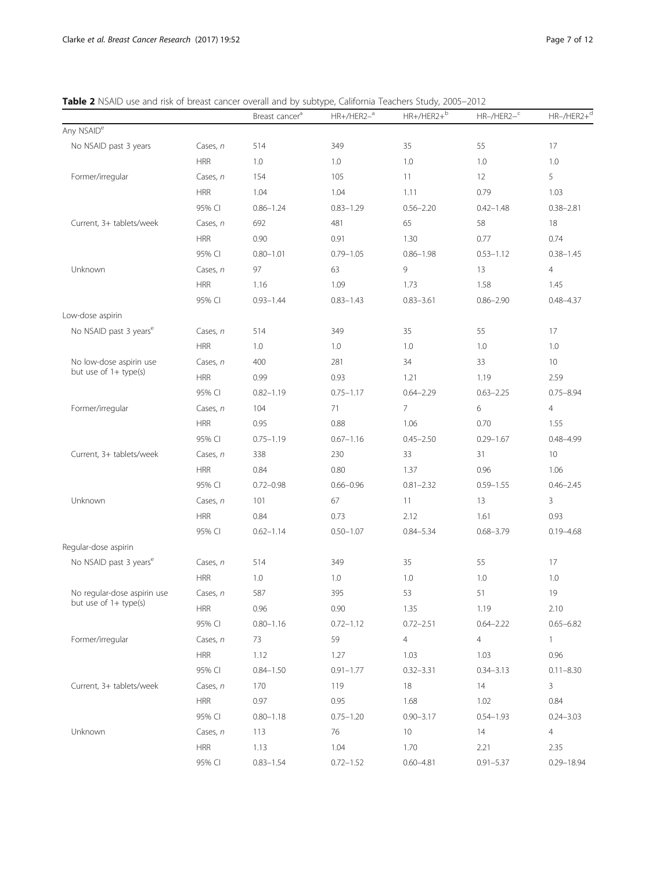<span id="page-6-0"></span>Table 2 NSAID use and risk of breast cancer overall and by subtype, California Teachers Study, 2005-2012

|                                    |            | Breast cancer <sup>a</sup> | $HR+/HER2-a$  | $HR+/HER2+^b$  | $HR-/HER2-c$   | $HR-/HER2+°$   |
|------------------------------------|------------|----------------------------|---------------|----------------|----------------|----------------|
| Any NSAID <sup>e</sup>             |            |                            |               |                |                |                |
| No NSAID past 3 years              | Cases, n   | 514                        | 349           | 35             | 55             | 17             |
|                                    | <b>HRR</b> | 1.0                        | 1.0           | 1.0            | 1.0            | 1.0            |
| Former/irregular                   | Cases, n   | 154                        | 105           | 11             | 12             | 5              |
|                                    | <b>HRR</b> | 1.04                       | 1.04          | 1.11           | 0.79           | 1.03           |
|                                    | 95% CI     | $0.86 - 1.24$              | $0.83 - 1.29$ | $0.56 - 2.20$  | $0.42 - 1.48$  | $0.38 - 2.81$  |
| Current, 3+ tablets/week           | Cases, n   | 692                        | 481           | 65             | 58             | 18             |
|                                    | <b>HRR</b> | 0.90                       | 0.91          | 1.30           | 0.77           | 0.74           |
|                                    | 95% CI     | $0.80 - 1.01$              | $0.79 - 1.05$ | $0.86 - 1.98$  | $0.53 - 1.12$  | $0.38 - 1.45$  |
| Unknown                            | Cases, n   | 97                         | 63            | 9              | 13             | $\overline{4}$ |
|                                    | <b>HRR</b> | 1.16                       | 1.09          | 1.73           | 1.58           | 1.45           |
|                                    | 95% CI     | $0.93 - 1.44$              | $0.83 - 1.43$ | $0.83 - 3.61$  | $0.86 - 2.90$  | $0.48 - 4.37$  |
| Low-dose aspirin                   |            |                            |               |                |                |                |
| No NSAID past 3 years <sup>e</sup> | Cases, n   | 514                        | 349           | 35             | 55             | 17             |
|                                    | <b>HRR</b> | 1.0                        | 1.0           | 1.0            | 1.0            | 1.0            |
| No low-dose aspirin use            | Cases, n   | 400                        | 281           | 34             | 33             | 10             |
| but use of $1+$ type(s)            | <b>HRR</b> | 0.99                       | 0.93          | 1.21           | 1.19           | 2.59           |
|                                    | 95% CI     | $0.82 - 1.19$              | $0.75 - 1.17$ | $0.64 - 2.29$  | $0.63 - 2.25$  | $0.75 - 8.94$  |
| Former/irregular                   | Cases, n   | 104                        | 71            | $\overline{7}$ | 6              | $\overline{4}$ |
|                                    | <b>HRR</b> | 0.95                       | 0.88          | 1.06           | 0.70           | 1.55           |
|                                    | 95% CI     | $0.75 - 1.19$              | $0.67 - 1.16$ | $0.45 - 2.50$  | $0.29 - 1.67$  | $0.48 - 4.99$  |
| Current, 3+ tablets/week           | Cases, n   | 338                        | 230           | 33             | 31             | 10             |
|                                    | <b>HRR</b> | 0.84                       | 0.80          | 1.37           | 0.96           | 1.06           |
|                                    | 95% CI     | $0.72 - 0.98$              | $0.66 - 0.96$ | $0.81 - 2.32$  | $0.59 - 1.55$  | $0.46 - 2.45$  |
| Unknown                            | Cases, n   | 101                        | 67            | 11             | 13             | 3              |
|                                    | <b>HRR</b> | 0.84                       | 0.73          | 2.12           | 1.61           | 0.93           |
|                                    | 95% CI     | $0.62 - 1.14$              | $0.50 - 1.07$ | $0.84 - 5.34$  | $0.68 - 3.79$  | $0.19 - 4.68$  |
| Regular-dose aspirin               |            |                            |               |                |                |                |
| No NSAID past 3 years <sup>e</sup> | Cases, n   | 514                        | 349           | 35             | 55             | 17             |
|                                    | <b>HRR</b> | 1.0                        | 1.0           | 1.0            | 1.0            | 1.0            |
| No regular-dose aspirin use        | Cases, n   | 587                        | 395           | 53             | 51             | 19             |
| but use of 1+ type(s)              | <b>HRR</b> | 0.96                       | 0.90          | 1.35           | 1.19           | 2.10           |
|                                    | 95% CI     | $0.80 - 1.16$              | $0.72 - 1.12$ | $0.72 - 2.51$  | $0.64 - 2.22$  | $0.65 - 6.82$  |
| Former/irregular                   | Cases, n   | 73                         | 59            | $\overline{4}$ | $\overline{4}$ | $\mathbf{1}$   |
|                                    | <b>HRR</b> | 1.12                       | 1.27          | 1.03           | 1.03           | 0.96           |
|                                    | 95% CI     | $0.84 - 1.50$              | $0.91 - 1.77$ | $0.32 - 3.31$  | $0.34 - 3.13$  | $0.11 - 8.30$  |
| Current, 3+ tablets/week           | Cases, n   | 170                        | 119           | 18             | 14             | 3              |
|                                    | <b>HRR</b> | 0.97                       | 0.95          | 1.68           | 1.02           | 0.84           |
|                                    | 95% CI     | $0.80 - 1.18$              | $0.75 - 1.20$ | $0.90 - 3.17$  | $0.54 - 1.93$  | $0.24 - 3.03$  |
| Unknown                            | Cases, n   | 113                        | 76            | 10             | 14             | $\overline{4}$ |
|                                    | <b>HRR</b> | 1.13                       | 1.04          | 1.70           | 2.21           | 2.35           |
|                                    | 95% CI     | $0.83 - 1.54$              | $0.72 - 1.52$ | $0.60 - 4.81$  | $0.91 - 5.37$  | $0.29 - 18.94$ |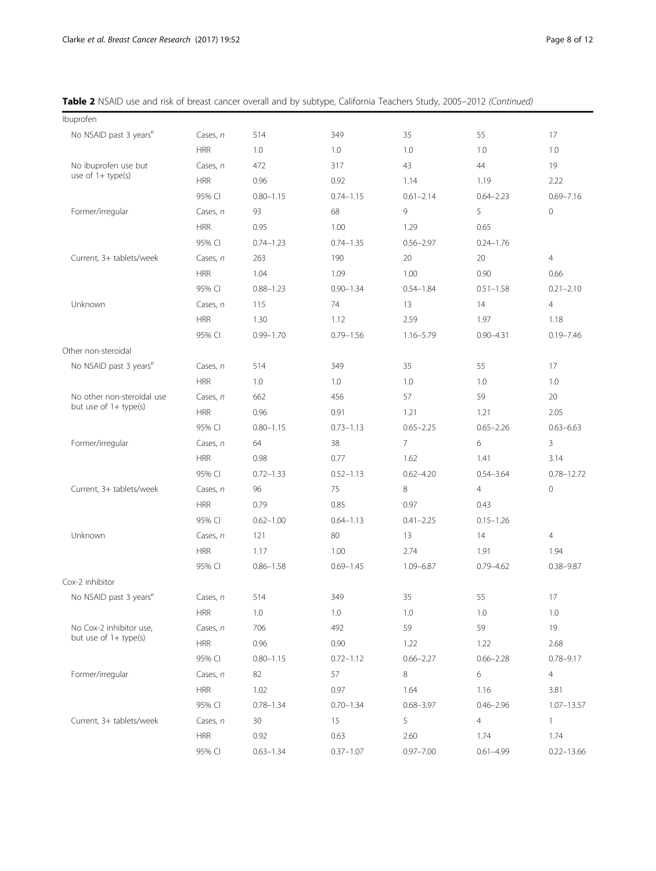Table 2 NSAID use and risk of breast cancer overall and by subtype, California Teachers Study, 2005–2012 (Continued)

| Ibuprofen                          |            |                 |               |                |                |                |
|------------------------------------|------------|-----------------|---------------|----------------|----------------|----------------|
| No NSAID past 3 years <sup>e</sup> | Cases, n   | 514             | 349           | 35             | 55             | 17             |
|                                    | <b>HRR</b> | 1.0             | 1.0           | 1.0            | 1.0            | 1.0            |
| No ibuprofen use but               | Cases, n   | 472             | 317           | 43             | 44             | 19             |
| use of $1+$ type(s)                | <b>HRR</b> | 0.96            | 0.92          | 1.14           | 1.19           | 2.22           |
|                                    | 95% CI     | $0.80 - 1.15$   | $0.74 - 1.15$ | $0.61 - 2.14$  | $0.64 - 2.23$  | $0.69 - 7.16$  |
| Former/irregular                   | Cases, n   | 93              | 68            | 9              | 5              | $\mathbf 0$    |
|                                    | <b>HRR</b> | 0.95            | 1.00          | 1.29           | 0.65           |                |
|                                    | 95% CI     | $0.74 - 1.23$   | $0.74 - 1.35$ | $0.56 - 2.97$  | $0.24 - 1.76$  |                |
| Current, 3+ tablets/week           | Cases, n   | 263             | 190           | 20             | 20             | $\overline{4}$ |
|                                    | <b>HRR</b> | 1.04            | 1.09          | 1.00           | 0.90           | 0.66           |
|                                    | 95% CI     | $0.88 - 1.23$   | $0.90 - 1.34$ | $0.54 - 1.84$  | $0.51 - 1.58$  | $0.21 - 2.10$  |
| Unknown                            | Cases, n   | 115             | 74            | 13             | 14             | $\overline{4}$ |
|                                    | <b>HRR</b> | 1.30            | 1.12          | 2.59           | 1.97           | 1.18           |
|                                    | 95% CI     | $0.99 - 1.70$   | $0.79 - 1.56$ | $1.16 - 5.79$  | $0.90 - 4.31$  | $0.19 - 7.46$  |
| Other non-steroidal                |            |                 |               |                |                |                |
| No NSAID past 3 years <sup>e</sup> | Cases, n   | 514             | 349           | 35             | 55             | 17             |
|                                    | <b>HRR</b> | 1.0             | 1.0           | 1.0            | 1.0            | 1.0            |
| No other non-steroidal use         | Cases, n   | 662             | 456           | 57             | 59             | 20             |
| but use of 1+ type(s)              | <b>HRR</b> | 0.96            | 0.91          | 1.21           | 1.21           | 2.05           |
|                                    | 95% CI     | $0.80 - 1.15$   | $0.73 - 1.13$ | $0.65 - 2.25$  | $0.65 - 2.26$  | $0.63 - 6.63$  |
| Former/irregular                   | Cases, n   | 64              | 38            | $\overline{7}$ | 6              | 3              |
|                                    | <b>HRR</b> | 0.98            | 0.77          | 1.62           | 1.41           | 3.14           |
|                                    | 95% CI     | $0.72 - 1.33$   | $0.52 - 1.13$ | $0.62 - 4.20$  | $0.54 - 3.64$  | $0.78 - 12.72$ |
| Current, 3+ tablets/week           | Cases, n   | 96              | 75            | 8              | $\overline{4}$ | 0              |
|                                    | <b>HRR</b> | 0.79            | 0.85          | 0.97           | 0.43           |                |
|                                    | 95% CI     | $0.62 - 1.00$   | $0.64 - 1.13$ | $0.41 - 2.25$  | $0.15 - 1.26$  |                |
| Unknown                            | Cases, n   | 121             | 80            | 13             | 14             | $\overline{4}$ |
|                                    | <b>HRR</b> | 1.17            | 1.00          | 2.74           | 1.91           | 1.94           |
|                                    | 95% CI     | $0.86 - 1.58$   | $0.69 - 1.45$ | $1.09 - 6.87$  | $0.79 - 4.62$  | $0.38 - 9.87$  |
| Cox-2 inhibitor                    |            |                 |               |                |                |                |
| No NSAID past 3 years <sup>e</sup> | Cases, n   | 514             | 349           | 35             | 55             | 17             |
|                                    | <b>HRR</b> | $1.0\,$         | 1.0           | 1.0            | 1.0            | 1.0            |
| No Cox-2 inhibitor use,            | Cases, n   | 706             | 492           | 59             | 59             | 19             |
| but use of 1+ type(s)              | <b>HRR</b> | 0.96            | 0.90          | 1.22           | 1.22           | 2.68           |
|                                    | 95% CI     | $0.80 - 1.15$   | $0.72 - 1.12$ | $0.66 - 2.27$  | $0.66 - 2.28$  | $0.78 - 9.17$  |
| Former/irregular                   | Cases, n   | 82              | 57            | 8              | 6              | $\overline{4}$ |
|                                    | <b>HRR</b> | 1.02            | 0.97          | 1.64           | 1.16           | 3.81           |
|                                    | 95% CI     | $0.78 - 1.34$   | $0.70 - 1.34$ | $0.68 - 3.97$  | $0.46 - 2.96$  | $1.07 - 13.57$ |
| Current, 3+ tablets/week           | Cases, n   | 30 <sub>o</sub> | 15            | 5              | $\overline{4}$ | $\mathbf{1}$   |
|                                    | <b>HRR</b> | 0.92            | 0.63          | 2.60           | 1.74           | 1.74           |
|                                    | 95% CI     | $0.63 - 1.34$   | $0.37 - 1.07$ | $0.97 - 7.00$  | $0.61 - 4.99$  | $0.22 - 13.66$ |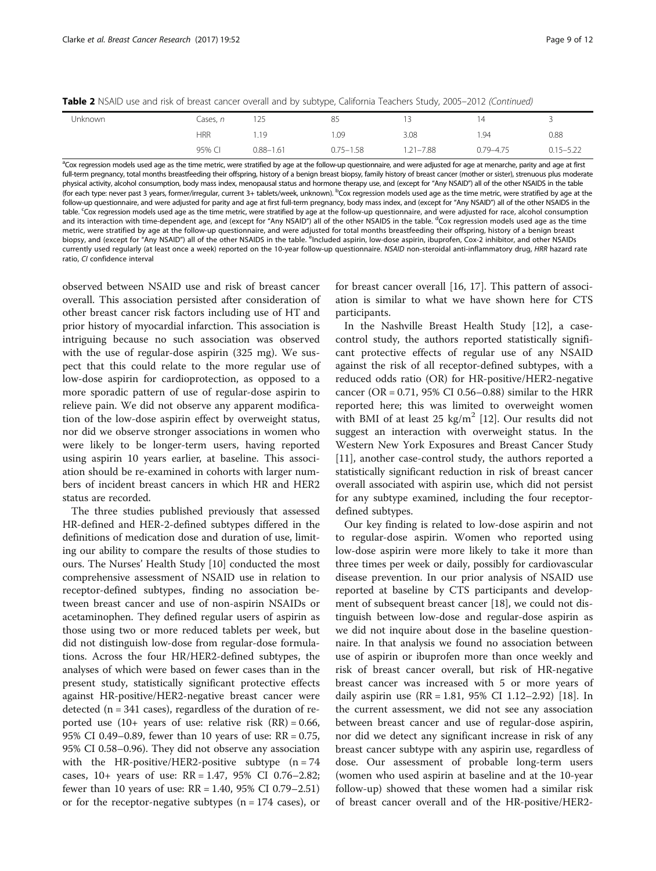Table 2 NSAID use and risk of breast cancer overall and by subtype, California Teachers Study, 2005–2012 (Continued)

| Unknown | Cases, n   | 125           | 85            |          | l 4           | -             |
|---------|------------|---------------|---------------|----------|---------------|---------------|
|         | <b>HRR</b> | . 19          | .09           | 3.08     | . 94          | 0.88          |
|         | 95% CI     | $0.88 - 1.61$ | $0.75 - 1.58$ | .21–7.88 | $0.79 - 4.75$ | $0.15 - 5.22$ |

<sup>a</sup>Cox regression models used age as the time metric, were stratified by age at the follow-up questionnaire, and were adjusted for age at menarche, parity and age at first full-term pregnancy, total months breastfeeding their offspring, history of a benign breast biopsy, family history of breast cancer (mother or sister), strenuous plus moderate physical activity, alcohol consumption, body mass index, menopausal status and hormone therapy use, and (except for "Any NSAID") all of the other NSAIDS in the table (for each type: never past 3 years, former/irregular, current 3+ tablets/week, unknown). <sup>b</sup>Cox regression models used age as the time metric, were stratified by age at the follow-up questionnaire, and were adjusted for parity and age at first full-term pregnancy, body mass index, and (except for "Any NSAID") all of the other NSAIDS in the table. <sup>c</sup>Cox regression models used age as the time metric, were stratified by age at the follow-up questionnaire, and were adjusted for race, alcohol consumption and its interaction with time-dependent age, and (except for "Any NSAID") all of the other NSAIDS in the table. <sup>d</sup>Cox regression models used age as the time metric, were stratified by age at the follow-up questionnaire, and were adjusted for total months breastfeeding their offspring, history of a benign breast biopsy, and (except for "Any NSAID") all of the other NSAIDS in the table. <sup>e</sup>Included aspirin, low-dose aspirin, ibuprofen, Cox-2 inhibitor, and other NSAIDs currently used regularly (at least once a week) reported on the 10-year follow-up questionnaire. NSAID non-steroidal anti-inflammatory drug, HRR hazard rate ratio, CI confidence interval

observed between NSAID use and risk of breast cancer overall. This association persisted after consideration of other breast cancer risk factors including use of HT and prior history of myocardial infarction. This association is intriguing because no such association was observed with the use of regular-dose aspirin (325 mg). We suspect that this could relate to the more regular use of low-dose aspirin for cardioprotection, as opposed to a more sporadic pattern of use of regular-dose aspirin to relieve pain. We did not observe any apparent modification of the low-dose aspirin effect by overweight status, nor did we observe stronger associations in women who were likely to be longer-term users, having reported using aspirin 10 years earlier, at baseline. This association should be re-examined in cohorts with larger numbers of incident breast cancers in which HR and HER2 status are recorded.

The three studies published previously that assessed HR-defined and HER-2-defined subtypes differed in the definitions of medication dose and duration of use, limiting our ability to compare the results of those studies to ours. The Nurses' Health Study [\[10](#page-11-0)] conducted the most comprehensive assessment of NSAID use in relation to receptor-defined subtypes, finding no association between breast cancer and use of non-aspirin NSAIDs or acetaminophen. They defined regular users of aspirin as those using two or more reduced tablets per week, but did not distinguish low-dose from regular-dose formulations. Across the four HR/HER2-defined subtypes, the analyses of which were based on fewer cases than in the present study, statistically significant protective effects against HR-positive/HER2-negative breast cancer were detected  $(n = 341 \text{ cases})$ , regardless of the duration of reported use  $(10+)$  years of use: relative risk  $(RR) = 0.66$ , 95% CI 0.49–0.89, fewer than 10 years of use: RR = 0.75, 95% CI 0.58–0.96). They did not observe any association with the HR-positive/HER2-positive subtype  $(n = 74)$ cases, 10+ years of use: RR = 1.47, 95% CI 0.76–2.82; fewer than 10 years of use: RR = 1.40, 95% CI 0.79–2.51) or for the receptor-negative subtypes  $(n = 174 \text{ cases})$ , or for breast cancer overall [\[16](#page-11-0), [17\]](#page-11-0). This pattern of association is similar to what we have shown here for CTS participants.

In the Nashville Breast Health Study [\[12](#page-11-0)], a casecontrol study, the authors reported statistically significant protective effects of regular use of any NSAID against the risk of all receptor-defined subtypes, with a reduced odds ratio (OR) for HR-positive/HER2-negative cancer ( $OR = 0.71$ , 95% CI 0.56–0.88) similar to the HRR reported here; this was limited to overweight women with BMI of at least 25 kg/m<sup>2</sup> [[12](#page-11-0)]. Our results did not suggest an interaction with overweight status. In the Western New York Exposures and Breast Cancer Study [[11\]](#page-11-0), another case-control study, the authors reported a statistically significant reduction in risk of breast cancer overall associated with aspirin use, which did not persist for any subtype examined, including the four receptordefined subtypes.

Our key finding is related to low-dose aspirin and not to regular-dose aspirin. Women who reported using low-dose aspirin were more likely to take it more than three times per week or daily, possibly for cardiovascular disease prevention. In our prior analysis of NSAID use reported at baseline by CTS participants and development of subsequent breast cancer [[18\]](#page-11-0), we could not distinguish between low-dose and regular-dose aspirin as we did not inquire about dose in the baseline questionnaire. In that analysis we found no association between use of aspirin or ibuprofen more than once weekly and risk of breast cancer overall, but risk of HR-negative breast cancer was increased with 5 or more years of daily aspirin use (RR = 1.81, 95% CI 1.12–2.92) [[18](#page-11-0)]. In the current assessment, we did not see any association between breast cancer and use of regular-dose aspirin, nor did we detect any significant increase in risk of any breast cancer subtype with any aspirin use, regardless of dose. Our assessment of probable long-term users (women who used aspirin at baseline and at the 10-year follow-up) showed that these women had a similar risk of breast cancer overall and of the HR-positive/HER2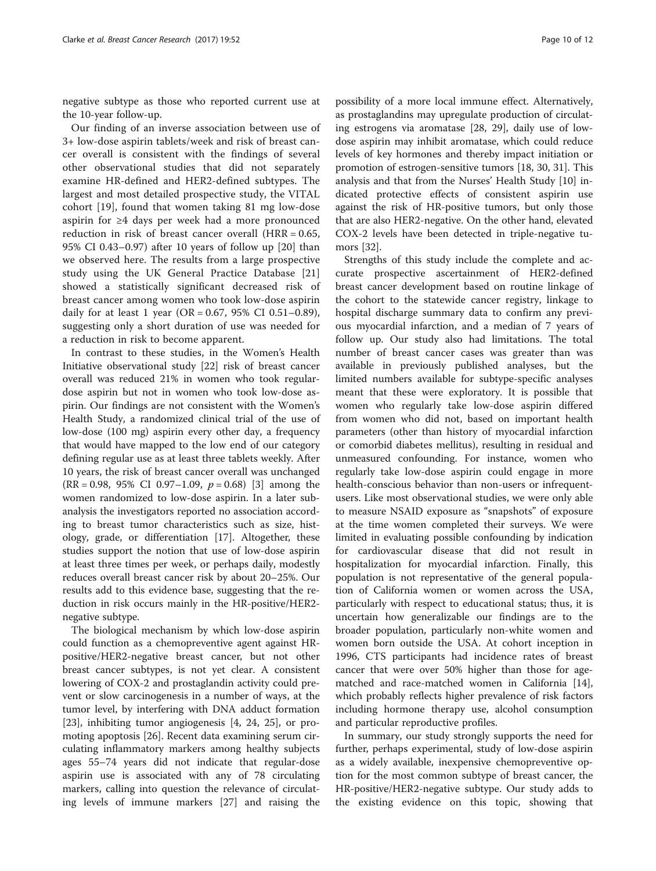negative subtype as those who reported current use at the 10-year follow-up.

Our finding of an inverse association between use of 3+ low-dose aspirin tablets/week and risk of breast cancer overall is consistent with the findings of several other observational studies that did not separately examine HR-defined and HER2-defined subtypes. The largest and most detailed prospective study, the VITAL cohort [\[19](#page-11-0)], found that women taking 81 mg low-dose aspirin for ≥4 days per week had a more pronounced reduction in risk of breast cancer overall  $(HRR = 0.65,$ 95% CI 0.43–0.97) after 10 years of follow up [\[20](#page-11-0)] than we observed here. The results from a large prospective study using the UK General Practice Database [\[21](#page-11-0)] showed a statistically significant decreased risk of breast cancer among women who took low-dose aspirin daily for at least 1 year (OR =  $0.67$ , 95% CI 0.51-0.89), suggesting only a short duration of use was needed for a reduction in risk to become apparent.

In contrast to these studies, in the Women's Health Initiative observational study [\[22](#page-11-0)] risk of breast cancer overall was reduced 21% in women who took regulardose aspirin but not in women who took low-dose aspirin. Our findings are not consistent with the Women's Health Study, a randomized clinical trial of the use of low-dose (100 mg) aspirin every other day, a frequency that would have mapped to the low end of our category defining regular use as at least three tablets weekly. After 10 years, the risk of breast cancer overall was unchanged  $(RR = 0.98, 95\% \text{ CI } 0.97 - 1.09, p = 0.68)$  [[3\]](#page-10-0) among the women randomized to low-dose aspirin. In a later subanalysis the investigators reported no association according to breast tumor characteristics such as size, histology, grade, or differentiation [[17\]](#page-11-0). Altogether, these studies support the notion that use of low-dose aspirin at least three times per week, or perhaps daily, modestly reduces overall breast cancer risk by about 20–25%. Our results add to this evidence base, suggesting that the reduction in risk occurs mainly in the HR-positive/HER2 negative subtype.

The biological mechanism by which low-dose aspirin could function as a chemopreventive agent against HRpositive/HER2-negative breast cancer, but not other breast cancer subtypes, is not yet clear. A consistent lowering of COX-2 and prostaglandin activity could prevent or slow carcinogenesis in a number of ways, at the tumor level, by interfering with DNA adduct formation [[23\]](#page-11-0), inhibiting tumor angiogenesis [\[4](#page-10-0), [24](#page-11-0), [25\]](#page-11-0), or promoting apoptosis [\[26](#page-11-0)]. Recent data examining serum circulating inflammatory markers among healthy subjects ages 55–74 years did not indicate that regular-dose aspirin use is associated with any of 78 circulating markers, calling into question the relevance of circulating levels of immune markers [[27\]](#page-11-0) and raising the

possibility of a more local immune effect. Alternatively, as prostaglandins may upregulate production of circulating estrogens via aromatase [\[28, 29](#page-11-0)], daily use of lowdose aspirin may inhibit aromatase, which could reduce levels of key hormones and thereby impact initiation or promotion of estrogen-sensitive tumors [[18, 30, 31](#page-11-0)]. This analysis and that from the Nurses' Health Study [[10](#page-11-0)] indicated protective effects of consistent aspirin use against the risk of HR-positive tumors, but only those that are also HER2-negative. On the other hand, elevated COX-2 levels have been detected in triple-negative tumors [[32](#page-11-0)].

Strengths of this study include the complete and accurate prospective ascertainment of HER2-defined breast cancer development based on routine linkage of the cohort to the statewide cancer registry, linkage to hospital discharge summary data to confirm any previous myocardial infarction, and a median of 7 years of follow up. Our study also had limitations. The total number of breast cancer cases was greater than was available in previously published analyses, but the limited numbers available for subtype-specific analyses meant that these were exploratory. It is possible that women who regularly take low-dose aspirin differed from women who did not, based on important health parameters (other than history of myocardial infarction or comorbid diabetes mellitus), resulting in residual and unmeasured confounding. For instance, women who regularly take low-dose aspirin could engage in more health-conscious behavior than non-users or infrequentusers. Like most observational studies, we were only able to measure NSAID exposure as "snapshots" of exposure at the time women completed their surveys. We were limited in evaluating possible confounding by indication for cardiovascular disease that did not result in hospitalization for myocardial infarction. Finally, this population is not representative of the general population of California women or women across the USA, particularly with respect to educational status; thus, it is uncertain how generalizable our findings are to the broader population, particularly non-white women and women born outside the USA. At cohort inception in 1996, CTS participants had incidence rates of breast cancer that were over 50% higher than those for agematched and race-matched women in California [\[14](#page-11-0)], which probably reflects higher prevalence of risk factors including hormone therapy use, alcohol consumption and particular reproductive profiles.

In summary, our study strongly supports the need for further, perhaps experimental, study of low-dose aspirin as a widely available, inexpensive chemopreventive option for the most common subtype of breast cancer, the HR-positive/HER2-negative subtype. Our study adds to the existing evidence on this topic, showing that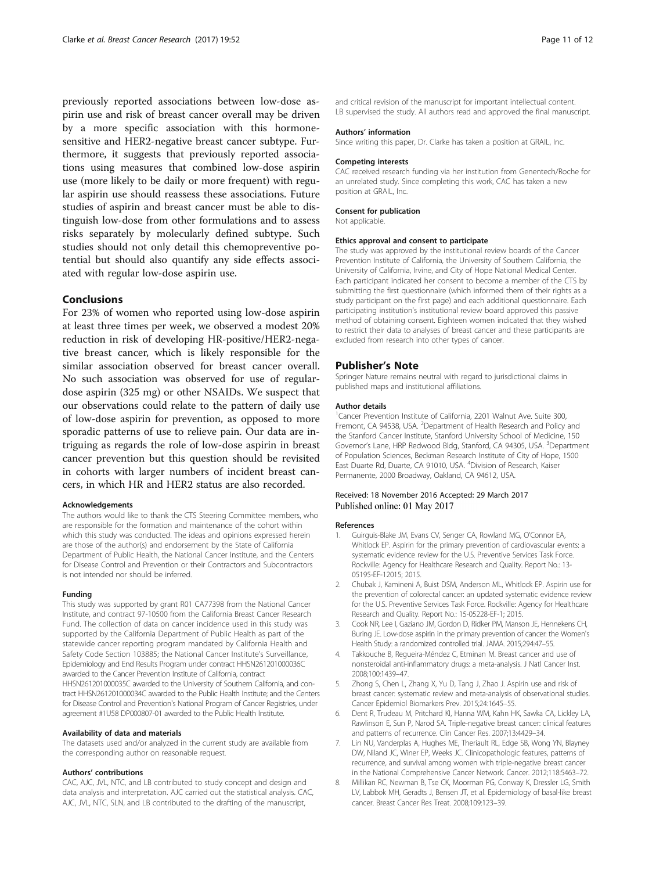<span id="page-10-0"></span>previously reported associations between low-dose aspirin use and risk of breast cancer overall may be driven by a more specific association with this hormonesensitive and HER2-negative breast cancer subtype. Furthermore, it suggests that previously reported associations using measures that combined low-dose aspirin use (more likely to be daily or more frequent) with regular aspirin use should reassess these associations. Future studies of aspirin and breast cancer must be able to distinguish low-dose from other formulations and to assess risks separately by molecularly defined subtype. Such studies should not only detail this chemopreventive potential but should also quantify any side effects associated with regular low-dose aspirin use.

# **Conclusions**

For 23% of women who reported using low-dose aspirin at least three times per week, we observed a modest 20% reduction in risk of developing HR-positive/HER2-negative breast cancer, which is likely responsible for the similar association observed for breast cancer overall. No such association was observed for use of regulardose aspirin (325 mg) or other NSAIDs. We suspect that our observations could relate to the pattern of daily use of low-dose aspirin for prevention, as opposed to more sporadic patterns of use to relieve pain. Our data are intriguing as regards the role of low-dose aspirin in breast cancer prevention but this question should be revisited in cohorts with larger numbers of incident breast cancers, in which HR and HER2 status are also recorded.

#### Acknowledgements

The authors would like to thank the CTS Steering Committee members, who are responsible for the formation and maintenance of the cohort within which this study was conducted. The ideas and opinions expressed herein are those of the author(s) and endorsement by the State of California Department of Public Health, the National Cancer Institute, and the Centers for Disease Control and Prevention or their Contractors and Subcontractors is not intended nor should be inferred.

#### Funding

This study was supported by grant R01 CA77398 from the National Cancer Institute, and contract 97-10500 from the California Breast Cancer Research Fund. The collection of data on cancer incidence used in this study was supported by the California Department of Public Health as part of the statewide cancer reporting program mandated by California Health and Safety Code Section 103885; the National Cancer Institute's Surveillance, Epidemiology and End Results Program under contract HHSN261201000036C awarded to the Cancer Prevention Institute of California, contract HHSN261201000035C awarded to the University of Southern California, and contract HHSN261201000034C awarded to the Public Health Institute; and the Centers for Disease Control and Prevention's National Program of Cancer Registries, under agreement #1U58 DP000807-01 awarded to the Public Health Institute.

#### Availability of data and materials

The datasets used and/or analyzed in the current study are available from the corresponding author on reasonable request.

#### Authors' contributions

CAC, AJC, JVL, NTC, and LB contributed to study concept and design and data analysis and interpretation. AJC carried out the statistical analysis. CAC, AJC, JVL, NTC, SLN, and LB contributed to the drafting of the manuscript,

and critical revision of the manuscript for important intellectual content. LB supervised the study. All authors read and approved the final manuscript.

#### Authors' information

Since writing this paper, Dr. Clarke has taken a position at GRAIL, Inc.

#### Competing interests

CAC received research funding via her institution from Genentech/Roche for an unrelated study. Since completing this work, CAC has taken a new position at GRAIL, Inc.

#### Consent for publication

Not applicable.

#### Ethics approval and consent to participate

The study was approved by the institutional review boards of the Cancer Prevention Institute of California, the University of Southern California, the University of California, Irvine, and City of Hope National Medical Center. Each participant indicated her consent to become a member of the CTS by submitting the first questionnaire (which informed them of their rights as a study participant on the first page) and each additional questionnaire. Each participating institution's institutional review board approved this passive method of obtaining consent. Eighteen women indicated that they wished to restrict their data to analyses of breast cancer and these participants are excluded from research into other types of cancer.

#### Publisher's Note

Springer Nature remains neutral with regard to jurisdictional claims in published maps and institutional affiliations.

#### Author details

<sup>1</sup> Cancer Prevention Institute of California, 2201 Walnut Ave. Suite 300, Fremont, CA 94538, USA. <sup>2</sup>Department of Health Research and Policy and the Stanford Cancer Institute, Stanford University School of Medicine, 150 Governor's Lane, HRP Redwood Bldg, Stanford, CA 94305, USA. <sup>3</sup>Department of Population Sciences, Beckman Research Institute of City of Hope, 1500 East Duarte Rd, Duarte, CA 91010, USA. <sup>4</sup> Division of Research, Kaiser Permanente, 2000 Broadway, Oakland, CA 94612, USA.

#### Received: 18 November 2016 Accepted: 29 March 2017 Published online: 01 May 2017

#### References

- 1. Guirguis-Blake JM, Evans CV, Senger CA, Rowland MG, O'Connor EA, Whitlock EP. Aspirin for the primary prevention of cardiovascular events: a systematic evidence review for the U.S. Preventive Services Task Force. Rockville: Agency for Healthcare Research and Quality. Report No.: 13- 05195-EF-12015; 2015.
- 2. Chubak J, Kamineni A, Buist DSM, Anderson ML, Whitlock EP. Aspirin use for the prevention of colorectal cancer: an updated systematic evidence review for the U.S. Preventive Services Task Force. Rockville: Agency for Healthcare Research and Quality. Report No.: 15-05228-EF-1; 2015.
- 3. Cook NR, Lee I, Gaziano JM, Gordon D, Ridker PM, Manson JE, Hennekens CH, Buring JE. Low-dose aspirin in the primary prevention of cancer: the Women's Health Study: a randomized controlled trial. JAMA. 2015;294:47–55.
- 4. Takkouche B, Regueira-Méndez C, Etminan M. Breast cancer and use of nonsteroidal anti-inflammatory drugs: a meta-analysis. J Natl Cancer Inst. 2008;100:1439–47.
- 5. Zhong S, Chen L, Zhang X, Yu D, Tang J, Zhao J. Aspirin use and risk of breast cancer: systematic review and meta-analysis of observational studies. Cancer Epidemiol Biomarkers Prev. 2015;24:1645–55.
- Dent R, Trudeau M, Pritchard KI, Hanna WM, Kahn HK, Sawka CA, Lickley LA, Rawlinson E, Sun P, Narod SA. Triple-negative breast cancer: clinical features and patterns of recurrence. Clin Cancer Res. 2007;13:4429–34.
- 7. Lin NU, Vanderplas A, Hughes ME, Theriault RL, Edge SB, Wong YN, Blayney DW, Niland JC, Winer EP, Weeks JC. Clinicopathologic features, patterns of recurrence, and survival among women with triple-negative breast cancer in the National Comprehensive Cancer Network. Cancer. 2012;118:5463–72.
- 8. Millikan RC, Newman B, Tse CK, Moorman PG, Conway K, Dressler LG, Smith LV, Labbok MH, Geradts J, Bensen JT, et al. Epidemiology of basal-like breast cancer. Breast Cancer Res Treat. 2008;109:123–39.